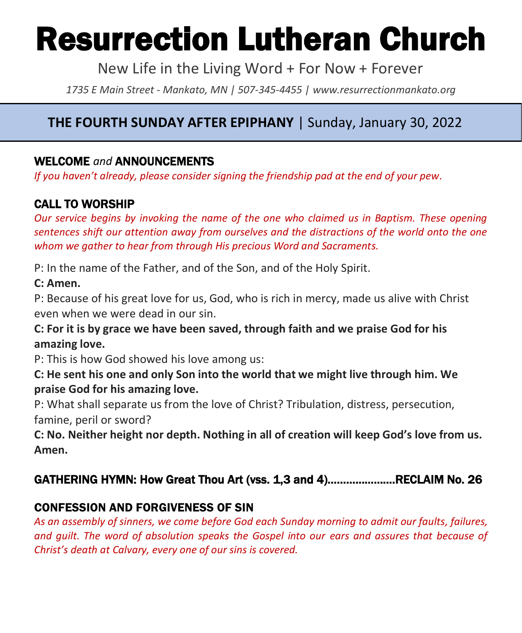# Resurrection Lutheran Church

New Life in the Living Word + For Now + Forever

*1735 E Main Street - Mankato, MN | 507-345-4455 | [www.resurrectionmankato.org](http://www.resurrectionmankato.org/)*

# **THE FOURTH SUNDAY AFTER EPIPHANY** | Sunday, January 30, 2022

*\_\_\_\_\_\_\_\_\_\_\_\_\_\_\_\_\_\_\_\_\_\_\_\_\_\_\_\_\_\_\_\_\_\_\_\_\_\_\_\_\_\_\_\_\_\_\_\_\_\_\_\_\_\_\_\_\_\_\_\_\_\_\_\_\_\_\_\_\_\_\_\_\_\_\_\_\_\_\_*

#### WELCOME *and* ANNOUNCEMENTS

*If you haven't already, please consider signing the friendship pad at the end of your pew.* 

#### CALL TO WORSHIP

*Our service begins by invoking the name of the one who claimed us in Baptism. These opening sentences shift our attention away from ourselves and the distractions of the world onto the one whom we gather to hear from through His precious Word and Sacraments.* 

P: In the name of the Father, and of the Son, and of the Holy Spirit.

**C: Amen.** 

P: Because of his great love for us, God, who is rich in mercy, made us alive with Christ even when we were dead in our sin.

#### **C: For it is by grace we have been saved, through faith and we praise God for his amazing love.**

P: This is how God showed his love among us:

**C: He sent his one and only Son into the world that we might live through him. We praise God for his amazing love.**

P: What shall separate us from the love of Christ? Tribulation, distress, persecution, famine, peril or sword?

**C: No. Neither height nor depth. Nothing in all of creation will keep God's love from us. Amen.**

#### GATHERING HYMN: How Great Thou Art (vss. 1,3 and 4)………………….RECLAIM No. 26

#### CONFESSION AND FORGIVENESS OF SIN

*As an assembly of sinners, we come before God each Sunday morning to admit our faults, failures, and guilt. The word of absolution speaks the Gospel into our ears and assures that because of Christ's death at Calvary, every one of our sins is covered.*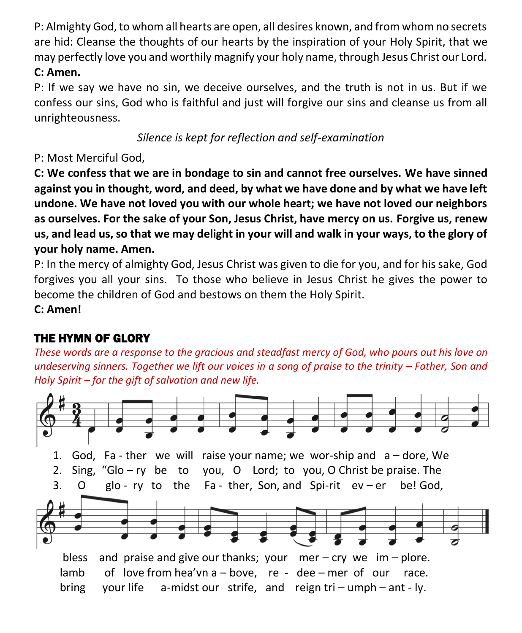P: Almighty God, to whom all hearts are open, all desires known, and from whom no secrets are hid: Cleanse the thoughts of our hearts by the inspiration of your Holy Spirit, that we may perfectly love you and worthily magnify your holy name, through Jesus Christ our Lord. **C: Amen.** 

P: If we say we have no sin, we deceive ourselves, and the truth is not in us. But if we confess our sins, God who is faithful and just will forgive our sins and cleanse us from all unrighteousness.

*Silence is kept for reflection and self-examination*

P: Most Merciful God,

**C: We confess that we are in bondage to sin and cannot free ourselves. We have sinned against you in thought, word, and deed, by what we have done and by what we have left undone. We have not loved you with our whole heart; we have not loved our neighbors as ourselves. For the sake of your Son, Jesus Christ, have mercy on us. Forgive us, renew us, and lead us, so that we may delight in your will and walk in your ways, to the glory of your holy name. Amen.**

P: In the mercy of almighty God, Jesus Christ was given to die for you, and for his sake, God forgives you all your sins. To those who believe in Jesus Christ he gives the power to become the children of God and bestows on them the Holy Spirit.

**C: Amen!** 

# THE HYMN OF GLORY

*These words are a response to the gracious and steadfast mercy of God, who pours out his love on undeserving sinners. Together we lift our voices in a song of praise to the trinity – Father, Son and Holy Spirit – for the gift of salvation and new life.* 

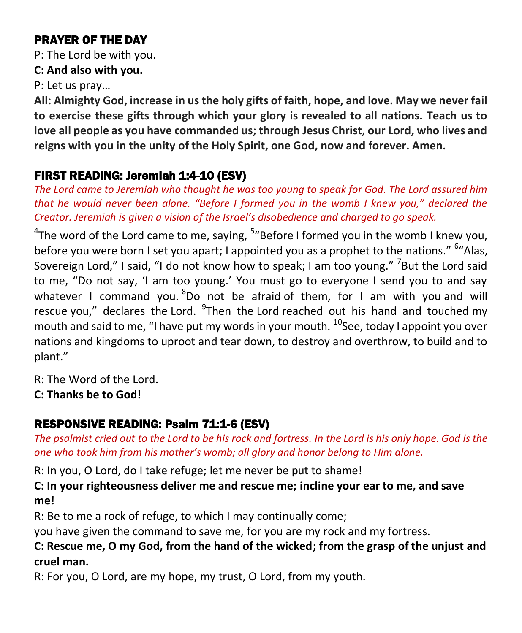#### PRAYER OF THE DAY

P: The Lord be with you.

# **C: And also with you.**

P: Let us pray…

**All: Almighty God, increase in us the holy gifts of faith, hope, and love. May we never fail to exercise these gifts through which your glory is revealed to all nations. Teach us to love all people as you have commanded us; through Jesus Christ, our Lord, who lives and reigns with you in the unity of the Holy Spirit, one God, now and forever. Amen.**

# FIRST READING: Jeremiah 1:4-10 (ESV)

*The Lord came to Jeremiah who thought he was too young to speak for God. The Lord assured him that he would never been alone. "Before I formed you in the womb I knew you," declared the Creator. Jeremiah is given a vision of the Israel's disobedience and charged to go speak.* 

<sup>4</sup>The word of the Lord came to me, saying, <sup>5</sup>"Before I formed you in the womb I knew you, before you were born I set you apart; I appointed you as a prophet to the nations." <sup>6</sup> "Alas, Sovereign Lord," I said, "I do not know how to speak; I am too young." <sup>7</sup>But the Lord said to me, "Do not say, 'I am too young.' You must go to everyone I send you to and say whatever I command you. <sup>8</sup>Do not be afraid of them, for I am with you and will rescue you," declares the Lord. <sup>9</sup>Then the Lord reached out his hand and touched my mouth and said to me, "I have put my words in your mouth.  $^{10}$ See, today I appoint you over nations and kingdoms to uproot and tear down, to destroy and overthrow, to build and to plant."

R: The Word of the Lord.

**C: Thanks be to God!** 

# RESPONSIVE READING: Psalm 71:1-6 (ESV)

*The psalmist cried out to the Lord to be his rock and fortress. In the Lord is his only hope. God is the one who took him from his mother's womb; all glory and honor belong to Him alone.* 

R: In you, O Lord, do I take refuge; let me never be put to shame!

**C: In your righteousness deliver me and rescue me; incline your ear to me, and save me!**

R: Be to me a rock of refuge, to which I may continually come;

you have given the command to save me, for you are my rock and my fortress.

#### **C: Rescue me, O my God, from the hand of the wicked; from the grasp of the unjust and cruel man.**

R: For you, O Lord, are my hope, my trust, O Lord, from my youth.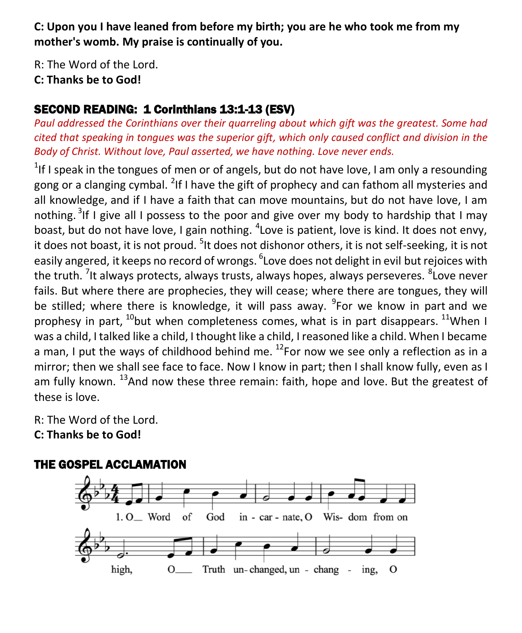**C: Upon you I have leaned from before my birth; you are he who took me from my mother's womb. My praise is continually of you.**

R: The Word of the Lord. **C: Thanks be to God!** 

# SECOND READING: 1 Corinthians 13:1-13 (ESV)

*Paul addressed the Corinthians over their quarreling about which gift was the greatest. Some had cited that speaking in tongues was the superior gift, which only caused conflict and division in the Body of Christ. Without love, Paul asserted, we have nothing. Love never ends.* 

<sup>1</sup>If I speak in the tongues of men or of angels, but do not have love, I am only a resounding gong or a clanging cymbal. <sup>2</sup>If I have the gift of prophecy and can fathom all mysteries and all knowledge, and if I have a faith that can move mountains, but do not have love, I am nothing. <sup>3</sup>If I give all I possess to the poor and give over my body to hardship that I may boast, but do not have love, I gain nothing. <sup>4</sup>Love is patient, love is kind. It does not envy, it does not boast, it is not proud. <sup>5</sup>It does not dishonor others, it is not self-seeking, it is not easily angered, it keeps no record of wrongs. <sup>6</sup>Love does not delight in evil but rejoices with the truth. <sup>7</sup>It always protects, always trusts, always hopes, always perseveres. <sup>8</sup>Love never fails. But where there are prophecies, they will cease; where there are tongues, they will be stilled; where there is knowledge, it will pass away. <sup>9</sup>For we know in part and we prophesy in part,  $^{10}$ but when completeness comes, what is in part disappears.  $^{11}$ When I was a child, I talked like a child, I thought like a child, I reasoned like a child. When I became a man, I put the ways of childhood behind me.  $^{12}$ For now we see only a reflection as in a mirror; then we shall see face to face. Now I know in part; then I shall know fully, even as I am fully known.  $^{13}$ And now these three remain: faith, hope and love. But the greatest of these is love.

R: The Word of the Lord. **C: Thanks be to God!** 



#### THE GOSPEL ACCLAMATION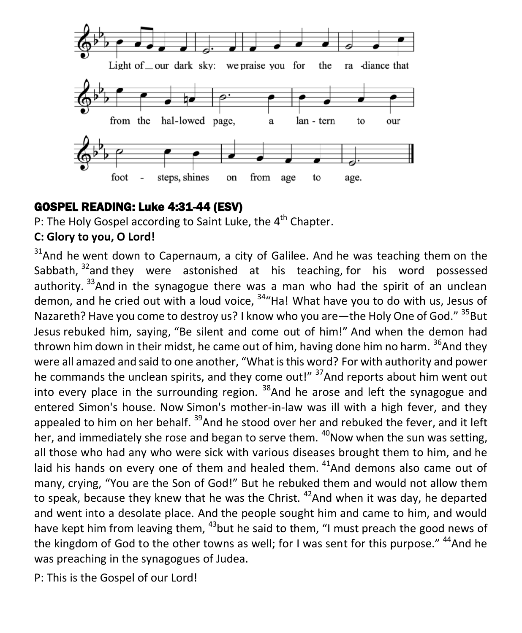

#### GOSPEL READING: Luke 4:31-44 (ESV)

P: The Holy Gospel according to Saint Luke, the 4<sup>th</sup> Chapter.

#### **C: Glory to you, O Lord!**

 $31$ And he went down to Capernaum, a city of Galilee. And he was teaching them on the Sabbath, <sup>32</sup>and they were astonished at his teaching, for his word possessed authority.  $33$ And in the synagogue there was a man who had the spirit of an unclean demon, and he cried out with a loud voice,  $34$  Ha! What have you to do with us, Jesus of Nazareth? Have you come to destroy us? I know who you are—the Holy One of God." <sup>35</sup>But Jesus rebuked him, saying, "Be silent and come out of him!" And when the demon had thrown him down in their midst, he came out of him, having done him no harm.  $^{36}$ And they were all amazed and said to one another, "What is this word? For with authority and power he commands the unclean spirits, and they come out!" <sup>37</sup>And reports about him went out into every place in the surrounding region.  $38$ And he arose and left the synagogue and entered Simon's house. Now Simon's mother-in-law was ill with a high fever, and they appealed to him on her behalf.  $39$ And he stood over her and rebuked the fever, and it left her, and immediately she rose and began to serve them.  $40N$ ow when the sun was setting, all those who had any who were sick with various diseases brought them to him, and he laid his hands on every one of them and healed them.  $41$ And demons also came out of many, crying, "You are the Son of God!" But he rebuked them and would not allow them to speak, because they knew that he was the Christ.  $42$ And when it was day, he departed and went into a desolate place. And the people sought him and came to him, and would have kept him from leaving them, <sup>43</sup>but he said to them, "I must preach the good news of the kingdom of God to the other towns as well; for I was sent for this purpose."  $44$ And he was preaching in the synagogues of Judea.

P: This is the Gospel of our Lord!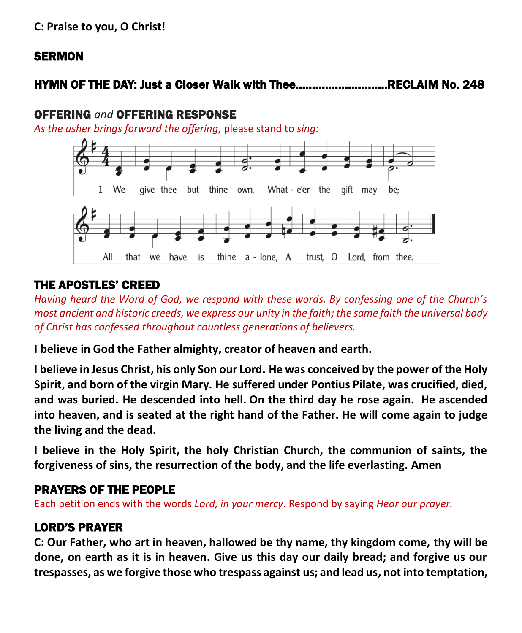#### **SERMON**

#### HYMN OF THE DAY: Just a Closer Walk with Thee……………………….RECLAIM No. 248

# OFFERING *and* OFFERING RESPONSE

*As the usher brings forward the offering,* please stand to *sing:*

![](_page_5_Figure_5.jpeg)

#### THE APOSTLES' CREED

*Having heard the Word of God, we respond with these words. By confessing one of the Church's most ancient and historic creeds, we express our unity in the faith; the same faith the universal body of Christ has confessed throughout countless generations of believers.* 

**I believe in God the Father almighty, creator of heaven and earth.**

**I believe in Jesus Christ, his only Son our Lord. He was conceived by the power of the Holy Spirit, and born of the virgin Mary. He suffered under Pontius Pilate, was crucified, died, and was buried. He descended into hell. On the third day he rose again. He ascended into heaven, and is seated at the right hand of the Father. He will come again to judge the living and the dead.**

**I believe in the Holy Spirit, the holy Christian Church, the communion of saints, the forgiveness of sins, the resurrection of the body, and the life everlasting. Amen**

#### PRAYERS OF THE PEOPLE

Each petition ends with the words *Lord, in your mercy*. Respond by saying *Hear our prayer.*

# LORD'S PRAYER

**C: Our Father, who art in heaven, hallowed be thy name, thy kingdom come, thy will be done, on earth as it is in heaven. Give us this day our daily bread; and forgive us our trespasses, as we forgive those who trespass against us; and lead us, not into temptation,**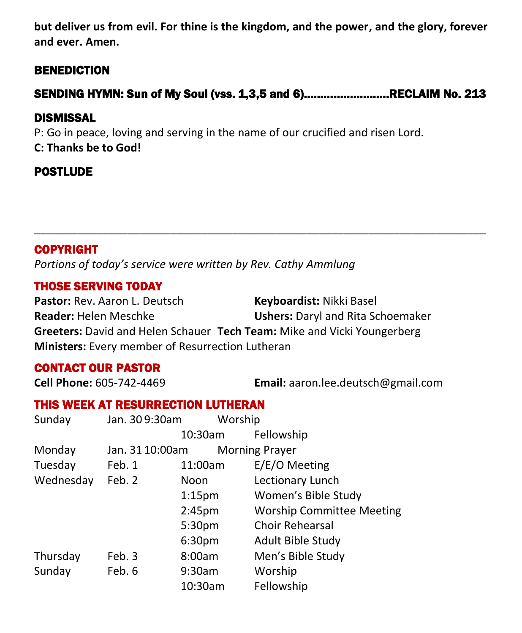**but deliver us from evil. For thine is the kingdom, and the power, and the glory, forever and ever. Amen.**

#### **BENEDICTION**

# SENDING HYMN: Sun of My Soul (vss. 1,3,5 and 6)……………………..RECLAIM No. 213

**\_\_\_\_\_\_\_\_\_\_\_\_\_\_\_\_\_\_\_\_\_\_\_\_\_\_\_\_\_\_\_\_\_\_\_\_\_\_\_\_\_\_\_\_\_\_\_\_\_\_\_\_\_\_\_\_\_\_\_\_\_\_\_\_\_\_\_\_\_\_\_\_\_**

#### DISMISSAL

P: Go in peace, loving and serving in the name of our crucified and risen Lord.

**C: Thanks be to God!**

#### **POSTLUDE**

#### COPYRIGHT

*Portions of today's service were written by Rev. Cathy Ammlung*

#### THOSE SERVING TODAY

**Pastor:** Rev. Aaron L. Deutsch **Keyboardist:** Nikki Basel **Reader:** Helen Meschke **Ushers:** Daryl and Rita Schoemaker **Greeters:** David and Helen Schauer **Tech Team:** Mike and Vicki Youngerberg **Ministers:** Every member of Resurrection Lutheran

#### CONTACT OUR PASTOR

**Cell Phone:** 605-742-4469 **Email:** [aaron.lee.deutsch@gmail.com](mailto:aaron.lee.deutsch@gmail.com)

#### THIS WEEK AT RESURRECTION LUTHERAN

| Sunday    | Jan. 309:30am   | Worship            |                                  |
|-----------|-----------------|--------------------|----------------------------------|
|           |                 | 10:30am            | Fellowship                       |
| Monday    | Jan. 31 10:00am |                    | <b>Morning Prayer</b>            |
| Tuesday   | Feb. 1          | 11:00am            | $E/E/O$ Meeting                  |
| Wednesday | Feb. 2          | Noon               | Lectionary Lunch                 |
|           |                 | 1:15 <sub>pm</sub> | Women's Bible Study              |
|           |                 | 2:45 <sub>pm</sub> | <b>Worship Committee Meeting</b> |
|           |                 | 5:30pm             | Choir Rehearsal                  |
|           |                 | 6:30pm             | Adult Bible Study                |
| Thursday  | Feb. 3          | 8:00am             | Men's Bible Study                |
| Sunday    | Feb. 6          | 9:30am             | Worship                          |
|           |                 | 10:30am            | Fellowship                       |